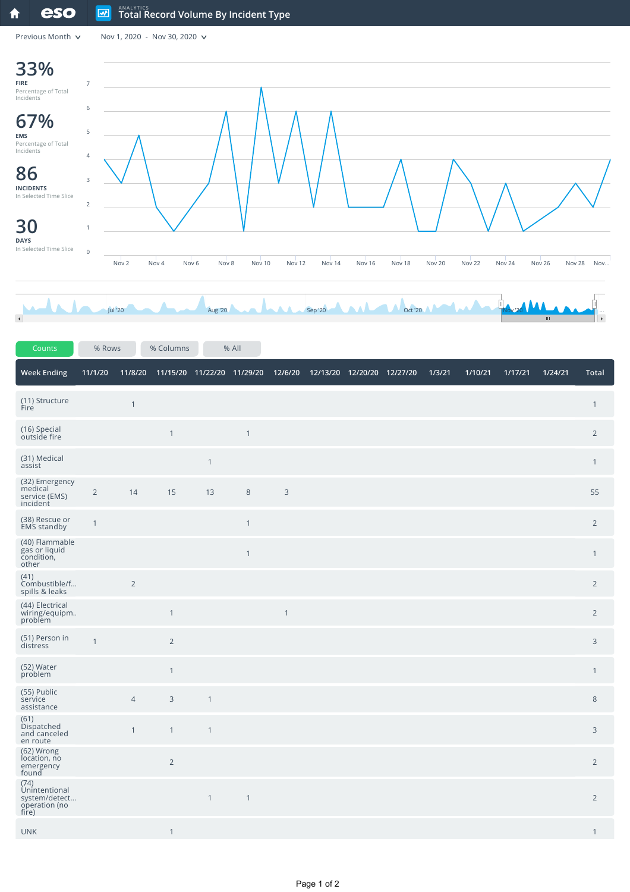Previous Month  $\sqrt{ }$  Nov 1, 2020 - Nov 30, 2020  $\sqrt{ }$ 



| Counts                                                                  | % Rows         |                | % Columns                          |              | % All          |              |                                       |  |        |         |         |         |                |
|-------------------------------------------------------------------------|----------------|----------------|------------------------------------|--------------|----------------|--------------|---------------------------------------|--|--------|---------|---------|---------|----------------|
| <b>Week Ending</b>                                                      | 11/1/20        |                | 11/8/20 11/15/20 11/22/20 11/29/20 |              |                |              | 12/6/20  12/13/20  12/20/20  12/27/20 |  | 1/3/21 | 1/10/21 | 1/17/21 | 1/24/21 | Total          |
| (11) Structure<br>Fire                                                  |                | $\mathbf{1}$   |                                    |              |                |              |                                       |  |        |         |         |         | $\mathbf{1}$   |
| (16) Special<br>outside fire                                            |                |                | $\mathbf{1}$                       |              | $\overline{1}$ |              |                                       |  |        |         |         |         | $\overline{2}$ |
| (31) Medical<br>assist                                                  |                |                |                                    | $\mathbf{1}$ |                |              |                                       |  |        |         |         |         | $\mathbf{1}$   |
| (32) Emergency<br>medical<br>service (EMS)<br>incident                  | $\overline{2}$ | 14             | 15                                 | 13           | $\,8\,$        | $\mathsf{3}$ |                                       |  |        |         |         |         | 55             |
| (38) Rescue or<br>EMS standby                                           | $\overline{1}$ |                |                                    |              | $\mathbf{1}$   |              |                                       |  |        |         |         |         | $\overline{2}$ |
| (40) Flammable<br>gas or liquid<br>condition,<br>other                  |                |                |                                    |              | $\mathbf{1}$   |              |                                       |  |        |         |         |         | $\mathbf{1}$   |
| (41)<br>Combustible/f<br>spills & leaks                                 |                | $\overline{2}$ |                                    |              |                |              |                                       |  |        |         |         |         | $\overline{2}$ |
| (44) Electrical<br>wiring/equipm.<br>problem                            |                |                | $\mathbf{1}$                       |              |                | $\mathbf{1}$ |                                       |  |        |         |         |         | $\overline{2}$ |
| (51) Person in<br>distress                                              | $\mathbf{1}$   |                | $\overline{2}$                     |              |                |              |                                       |  |        |         |         |         | 3              |
| (52) Water<br>problem                                                   |                |                | $\mathbf{1}$                       |              |                |              |                                       |  |        |         |         |         | $\mathbf{1}$   |
| (55) Public<br>service<br>assistance                                    |                | $\overline{4}$ | 3                                  | $\mathbf{1}$ |                |              |                                       |  |        |         |         |         | $8\,$          |
| (61)<br>Dispatched<br>and canceled<br>en route                          |                | $\mathbf{1}$   | $\mathbf{1}$                       | $\mathbf{1}$ |                |              |                                       |  |        |         |         |         | 3              |
| (62) Wrong<br>location, no<br>emergency<br>found                        |                |                | $\overline{2}$                     |              |                |              |                                       |  |        |         |         |         | $\overline{2}$ |
| (74)<br><b>Unintentional</b><br>system/detect<br>operation (no<br>fire) |                |                |                                    | $\mathbf{1}$ | $\overline{1}$ |              |                                       |  |        |         |         |         | $\overline{2}$ |
| <b>UNK</b>                                                              |                |                | $\mathbf{1}$                       |              |                |              |                                       |  |        |         |         |         | $\mathbf{1}$   |